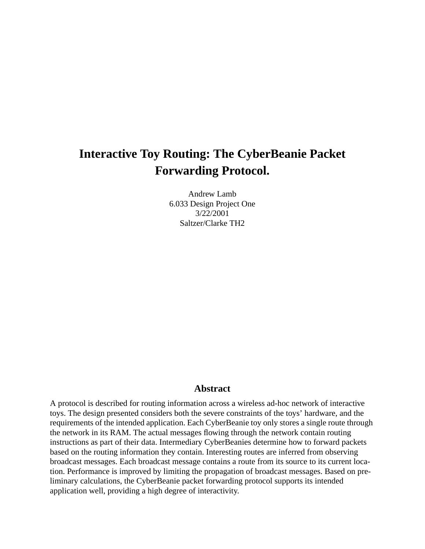# **Interactive Toy Routing: The CyberBeanie Packet Forwarding Protocol.**

Andrew Lamb 6.033 Design Project One 3/22/2001 Saltzer/Clarke TH2

### **Abstract**

A protocol is described for routing information across a wireless ad-hoc network of interactive toys. The design presented considers both the severe constraints of the toys' hardware, and the requirements of the intended application. Each CyberBeanie toy only stores a single route through the network in its RAM. The actual messages flowing through the network contain routing instructions as part of their data. Intermediary CyberBeanies determine how to forward packets based on the routing information they contain. Interesting routes are inferred from observing broadcast messages. Each broadcast message contains a route from its source to its current location. Performance is improved by limiting the propagation of broadcast messages. Based on preliminary calculations, the CyberBeanie packet forwarding protocol supports its intended application well, providing a high degree of interactivity.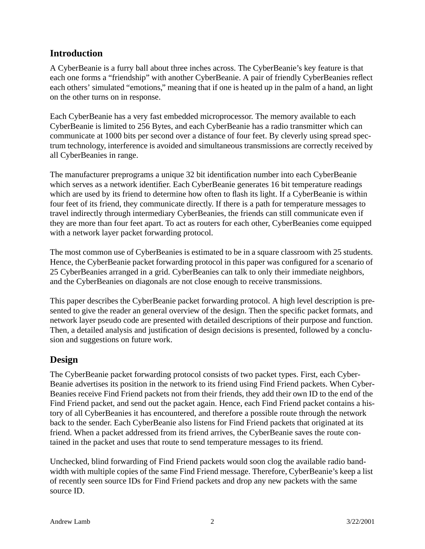# **Introduction**

A CyberBeanie is a furry ball about three inches across. The CyberBeanie's key feature is that each one forms a "friendship" with another CyberBeanie. A pair of friendly CyberBeanies reflect each others' simulated "emotions," meaning that if one is heated up in the palm of a hand, an light on the other turns on in response.

Each CyberBeanie has a very fast embedded microprocessor. The memory available to each CyberBeanie is limited to 256 Bytes, and each CyberBeanie has a radio transmitter which can communicate at 1000 bits per second over a distance of four feet. By cleverly using spread spectrum technology, interference is avoided and simultaneous transmissions are correctly received by all CyberBeanies in range.

The manufacturer preprograms a unique 32 bit identification number into each CyberBeanie which serves as a network identifier. Each CyberBeanie generates 16 bit temperature readings which are used by its friend to determine how often to flash its light. If a CyberBeanie is within four feet of its friend, they communicate directly. If there is a path for temperature messages to travel indirectly through intermediary CyberBeanies, the friends can still communicate even if they are more than four feet apart. To act as routers for each other, CyberBeanies come equipped with a network layer packet forwarding protocol.

The most common use of CyberBeanies is estimated to be in a square classroom with 25 students. Hence, the CyberBeanie packet forwarding protocol in this paper was configured for a scenario of 25 CyberBeanies arranged in a grid. CyberBeanies can talk to only their immediate neighbors, and the CyberBeanies on diagonals are not close enough to receive transmissions.

This paper describes the CyberBeanie packet forwarding protocol. A high level description is presented to give the reader an general overview of the design. Then the specific packet formats, and network layer pseudo code are presented with detailed descriptions of their purpose and function. Then, a detailed analysis and justification of design decisions is presented, followed by a conclusion and suggestions on future work.

# **Design**

The CyberBeanie packet forwarding protocol consists of two packet types. First, each Cyber-Beanie advertises its position in the network to its friend using Find Friend packets. When Cyber-Beanies receive Find Friend packets not from their friends, they add their own ID to the end of the Find Friend packet, and send out the packet again. Hence, each Find Friend packet contains a history of all CyberBeanies it has encountered, and therefore a possible route through the network back to the sender. Each CyberBeanie also listens for Find Friend packets that originated at its friend. When a packet addressed from its friend arrives, the CyberBeanie saves the route contained in the packet and uses that route to send temperature messages to its friend.

Unchecked, blind forwarding of Find Friend packets would soon clog the available radio bandwidth with multiple copies of the same Find Friend message. Therefore, CyberBeanie's keep a list of recently seen source IDs for Find Friend packets and drop any new packets with the same source ID.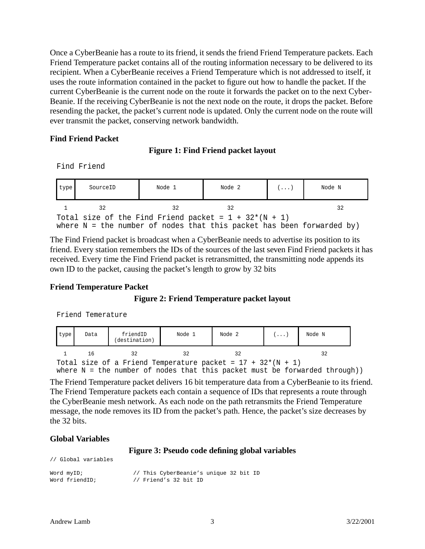Once a CyberBeanie has a route to its friend, it sends the friend Friend Temperature packets. Each Friend Temperature packet contains all of the routing information necessary to be delivered to its recipient. When a CyberBeanie receives a Friend Temperature which is not addressed to itself, it uses the route information contained in the packet to figure out how to handle the packet. If the current CyberBeanie is the current node on the route it forwards the packet on to the next Cyber-Beanie. If the receiving CyberBeanie is not the next node on the route, it drops the packet. Before resending the packet, the packet's current node is updated. Only the current node on the route will ever transmit the packet, conserving network bandwidth.

#### **Find Friend Packet**

# **Figure 1: Find Friend packet layout**

Find Friend

| type                                                                                                                               | SourceID | Node 1 | Node 2 | $(\ldots)$ | Node N |  |
|------------------------------------------------------------------------------------------------------------------------------------|----------|--------|--------|------------|--------|--|
|                                                                                                                                    | 32       | 32     | 32     |            | 32     |  |
| Total size of the Find Friend packet = $1 + 32*(N + 1)$<br>where $N =$ the number of nodes that this packet has been forwarded by) |          |        |        |            |        |  |

The Find Friend packet is broadcast when a CyberBeanie needs to advertise its position to its friend. Every station remembers the IDs of the sources of the last seven Find Friend packets it has received. Every time the Find Friend packet is retransmitted, the transmitting node appends its own ID to the packet, causing the packet's length to grow by 32 bits

### **Friend Temperature Packet**

### **Figure 2: Friend Temperature packet layout**

Friend Temerature

| type                                                          | Data | friendID<br>(destination) | Node 1 | Node 2                                                                       | $(\ldots)$ | Node N |  |
|---------------------------------------------------------------|------|---------------------------|--------|------------------------------------------------------------------------------|------------|--------|--|
|                                                               | -16  | 32.                       | 32     | 32                                                                           |            | 32     |  |
| Total size of a Friend Temperature packet = $17 + 32*(N + 1)$ |      |                           |        |                                                                              |            |        |  |
|                                                               |      |                           |        | where $N =$ the number of nodes that this packet must be forwarded through)) |            |        |  |

The Friend Temperature packet delivers 16 bit temperature data from a CyberBeanie to its friend. The Friend Temperature packets each contain a sequence of IDs that represents a route through the CyberBeanie mesh network. As each node on the path retransmits the Friend Temperature message, the node removes its ID from the packet's path. Hence, the packet's size decreases by the 32 bits.

### **Global Variables**

// Global variables

#### **Figure 3: Pseudo code defining global variables**

| 77 SIODAI VALIADICO |                                        |
|---------------------|----------------------------------------|
| Word myID;          | // This CyberBeanie's unique 32 bit ID |
| Word friendID;      | // Friend's 32 bit ID                  |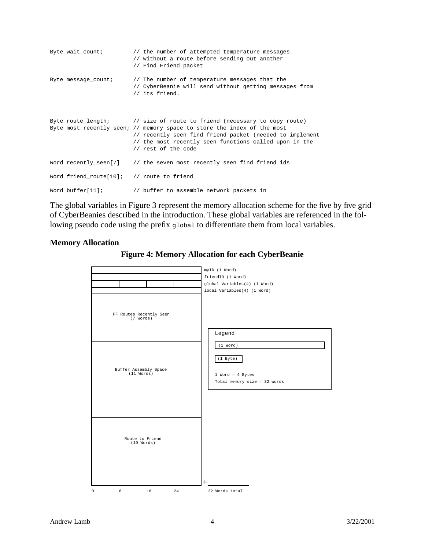```
Byte wait_count; \frac{1}{1} the number of attempted temperature messages
                         // without a route before sending out another
                         // Find Friend packet
Byte message_count; // The number of temperature messages that the
                         // CyberBeanie will send without getting messages from
                         // its friend.
Byte route length; // size of route to friend (necessary to copy route)
Byte most_recently_seen; // memory space to store the index of the most
                         // recently seen find friend packet (needed to implement
                         // the most recently seen functions called upon in the
                         // rest of the code
Word recently_seen[7] // the seven most recently seen find friend ids
Word friend_route[10]; // route to friend
Word buffer[11]; \sqrt{} buffer to assemble network packets in
```
The global variables in Figure 3 represent the memory allocation scheme for the five by five grid of CyberBeanies described in the introduction. These global variables are referenced in the following pseudo code using the prefix global to differentiate them from local variables.

#### **Memory Allocation**



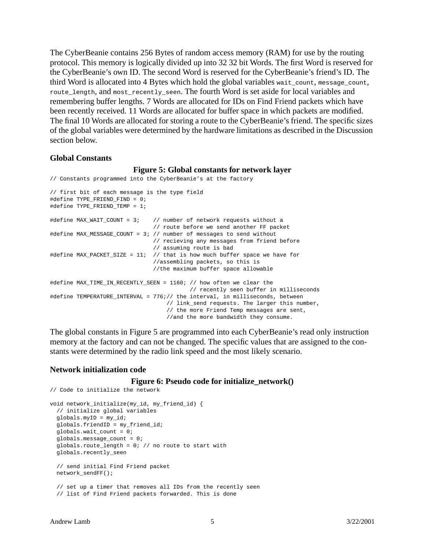The CyberBeanie contains 256 Bytes of random access memory (RAM) for use by the routing protocol. This memory is logically divided up into 32 32 bit Words. The first Word is reserved for the CyberBeanie's own ID. The second Word is reserved for the CyberBeanie's friend's ID. The third Word is allocated into 4 Bytes which hold the global variables wait\_count, message\_count, route\_length, and most\_recently\_seen. The fourth Word is set aside for local variables and remembering buffer lengths. 7 Words are allocated for IDs on Find Friend packets which have been recently received. 11 Words are allocated for buffer space in which packets are modified. The final 10 Words are allocated for storing a route to the CyberBeanie's friend. The specific sizes of the global variables were determined by the hardware limitations as described in the Discussion section below.

#### **Global Constants**

#### **Figure 5: Global constants for network layer**

```
// Constants programmed into the CyberBeanie's at the factory
// first bit of each message is the type field
#define TYPE_FRIEND_FIND = 0;
#define TYPE_FRIEND_TEMP = 1;
#define MAX_WAIT_COUNT = 3; // number of network requests without a
                               // route before we send another FF packet
#define MAX_MESSAGE_COUNT = 3; // number of messages to send without
                               // recieving any messages from friend before
                               // assuming route is bad
#define MAX_PACKET_SIZE = 11; // that is how much buffer space we have for
                               //assembling packets, so this is
                               //the maximum buffer space allowable
#define MAX_TIME_IN_RECENTLY_SEEN = 1160; // how often we clear the
                                           // recently seen buffer in milliseconds
#define TEMPERATURE_INTERVAL = 776;// the interval, in milliseconds, between
                                   // link_send requests. The larger this number,
                                    // the more Friend Temp messages are sent,
                                    //and the more bandwidth they consume.
```
The global constants in Figure 5 are programmed into each CyberBeanie's read only instruction memory at the factory and can not be changed. The specific values that are assigned to the constants were determined by the radio link speed and the most likely scenario.

#### **Network initialization code**

#### **Figure 6: Pseudo code for initialize\_network()**

```
// Code to initialize the network
void network_initialize(my_id, my_friend_id) {
  // initialize global variables
  globals.myID = my_id;
  globals.friendID = my_friend_id;
  globals.wait_count = 0;
  globals.message_count = 0;
  globals.route_length = 0; // no route to start with
  globals.recently_seen
  // send initial Find Friend packet
  network_sendFF();
   // set up a timer that removes all IDs from the recently seen
   // list of Find Friend packets forwarded. This is done
```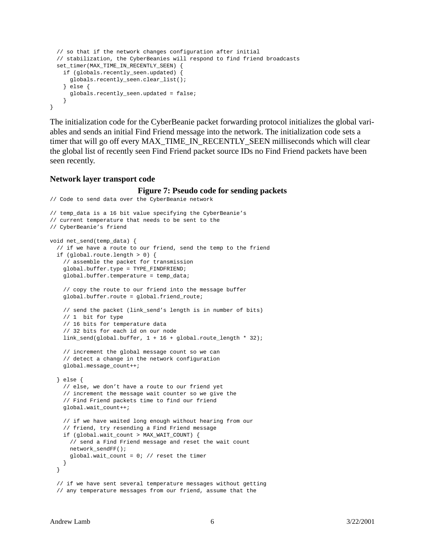```
 // so that if the network changes configuration after initial
   // stabilization, the CyberBeanies will respond to find friend broadcasts
   set_timer(MAX_TIME_IN_RECENTLY_SEEN) {
    if (globals.recently_seen.updated) \
      globals.recently_seen.clear_list();
     } else {
      globals.recently_seen.updated = false;
 }
}
```
The initialization code for the CyberBeanie packet forwarding protocol initializes the global variables and sends an initial Find Friend message into the network. The initialization code sets a timer that will go off every MAX\_TIME\_IN\_RECENTLY\_SEEN milliseconds which will clear the global list of recently seen Find Friend packet source IDs no Find Friend packets have been seen recently.

#### **Network layer transport code**

#### **Figure 7: Pseudo code for sending packets**

```
// Code to send data over the CyberBeanie network
// temp_data is a 16 bit value specifying the CyberBeanie's
// current temperature that needs to be sent to the
// CyberBeanie's friend
void net_send(temp_data) {
  // if we have a route to our friend, send the temp to the friend
  if (global.route.length > 0) {
     // assemble the packet for transmission
     global.buffer.type = TYPE_FINDFRIEND;
     global.buffer.temperature = temp_data;
     // copy the route to our friend into the message buffer
     global.buffer.route = global.friend_route;
     // send the packet (link_send's length is in number of bits)
     // 1 bit for type
     // 16 bits for temperature data
     // 32 bits for each id on our node
     link_send(global.buffer, 1 + 16 + global.route_length * 32);
     // increment the global message count so we can
     // detect a change in the network configuration
     global.message_count++;
   } else {
     // else, we don't have a route to our friend yet
     // increment the message wait counter so we give the
     // Find Friend packets time to find our friend
    global.wait_count++;
     // if we have waited long enough without hearing from our
     // friend, try resending a Find Friend message
     if (global.wait_count > MAX_WAIT_COUNT) {
       // send a Find Friend message and reset the wait count
      network_sendFF();
     qlobal.wait count = 0; // reset the timer
    }
   }
   // if we have sent several temperature messages without getting
   // any temperature messages from our friend, assume that the
```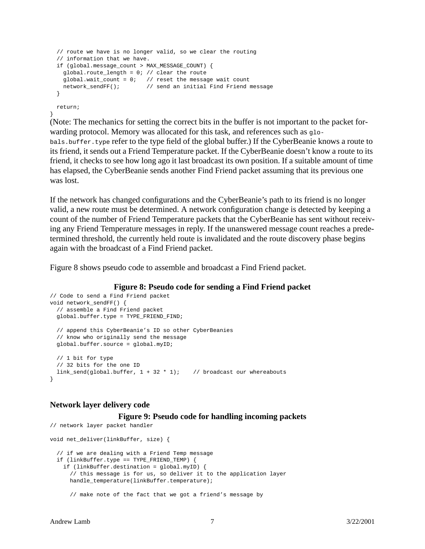```
 // route we have is no longer valid, so we clear the routing
 // information that we have.
 if (global.message_count > MAX_MESSAGE_COUNT) {
  global.route_length = 0; // clear the route
 global.wait_count = 0; // reset the message wait count
  network_sendFF(); // send an initial Find Friend message
 }
```
 return; }

(Note: The mechanics for setting the correct bits in the buffer is not important to the packet forwarding protocol. Memory was allocated for this task, and references such as  $g_{10}$ bals.buffer.type refer to the type field of the global buffer.) If the CyberBeanie knows a route to its friend, it sends out a Friend Temperature packet. If the CyberBeanie doesn't know a route to its friend, it checks to see how long ago it last broadcast its own position. If a suitable amount of time has elapsed, the CyberBeanie sends another Find Friend packet assuming that its previous one was lost.

If the network has changed configurations and the CyberBeanie's path to its friend is no longer valid, a new route must be determined. A network configuration change is detected by keeping a count of the number of Friend Temperature packets that the CyberBeanie has sent without receiving any Friend Temperature messages in reply. If the unanswered message count reaches a predetermined threshold, the currently held route is invalidated and the route discovery phase begins again with the broadcast of a Find Friend packet.

Figure 8 shows pseudo code to assemble and broadcast a Find Friend packet.

#### **Figure 8: Pseudo code for sending a Find Friend packet**

```
// Code to send a Find Friend packet
void network_sendFF() {
  // assemble a Find Friend packet
  global.buffer.type = TYPE_FRIEND_FIND;
  // append this CyberBeanie's ID so other CyberBeanies
  // know who originally send the message
  global.buffer.source = global.myID;
  // 1 bit for type
  // 32 bits for the one ID
 link_send(qlobal.buffer, 1 + 32 * 1); // broadcast our whereabouts
}
```
#### **Network layer delivery code**

#### **Figure 9: Pseudo code for handling incoming packets**

```
// network layer packet handler
void net_deliver(linkBuffer, size) {
   // if we are dealing with a Friend Temp message
  if (linkBuffer.type == TYPE_FRIEND_TEMP) {
     if (linkBuffer.destination = global.myID) {
      // this message is for us, so deliver it to the application layer
      handle_temperature(linkBuffer.temperature);
       // make note of the fact that we got a friend's message by
```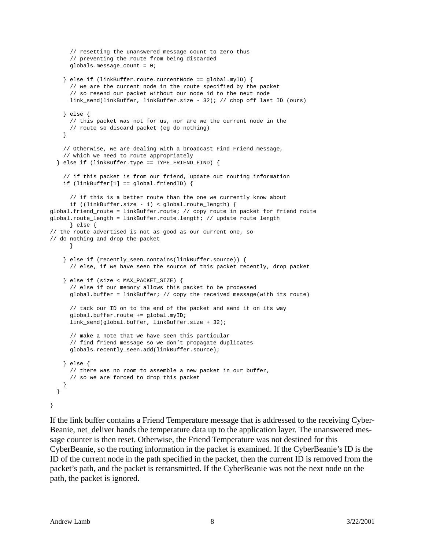```
 // resetting the unanswered message count to zero thus
       // preventing the route from being discarded
       globals.message_count = 0;
     } else if (linkBuffer.route.currentNode == global.myID) {
       // we are the current node in the route specified by the packet
       // so resend our packet without our node id to the next node
      link_send(linkBuffer, linkBuffer.size - 32); // chop off last ID (ours)
     } else {
       // this packet was not for us, nor are we the current node in the
       // route so discard packet (eg do nothing)
 }
     // Otherwise, we are dealing with a broadcast Find Friend message,
     // which we need to route appropriately
   } else if (linkBuffer.type == TYPE_FRIEND_FIND) {
     // if this packet is from our friend, update out routing information
     if (linkBuffer[1] == global.friendID) {
       // if this is a better route than the one we currently know about
      if ((linkBuffer.size - 1) < global.route_length) {
global.friend_route = linkBuffer.route; // copy route in packet for friend route
global.route_length = linkBuffer.route.length; // update route length
      } else {
// the route advertised is not as good as our current one, so
// do nothing and drop the packet
       }
     } else if (recently_seen.contains(linkBuffer.source)) {
       // else, if we have seen the source of this packet recently, drop packet
     } else if (size < MAX_PACKET_SIZE) {
       // else if our memory allows this packet to be processed
       global.buffer = linkBuffer; // copy the received message(with its route)
       // tack our ID on to the end of the packet and send it on its way
       global.buffer.route += global.myID;
       link_send(global.buffer, linkBuffer.size + 32);
       // make a note that we have seen this particular
       // find friend message so we don't propagate duplicates
     globals.recently_seen.add(linkBuffer.source);
     } else {
       // there was no room to assemble a new packet in our buffer,
       // so we are forced to drop this packet
     }
   }
}
```
If the link buffer contains a Friend Temperature message that is addressed to the receiving Cyber-Beanie, net\_deliver hands the temperature data up to the application layer. The unanswered message counter is then reset. Otherwise, the Friend Temperature was not destined for this CyberBeanie, so the routing information in the packet is examined. If the CyberBeanie's ID is the ID of the current node in the path specified in the packet, then the current ID is removed from the packet's path, and the packet is retransmitted. If the CyberBeanie was not the next node on the path, the packet is ignored.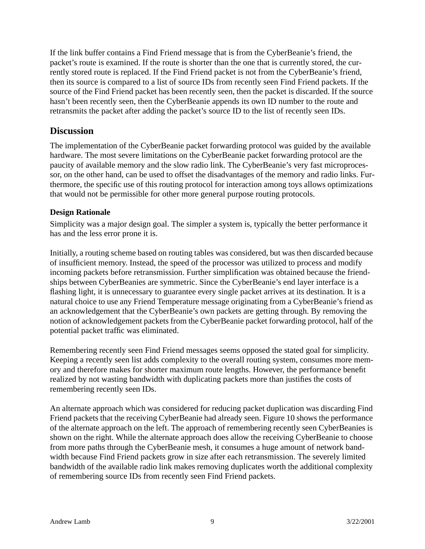If the link buffer contains a Find Friend message that is from the CyberBeanie's friend, the packet's route is examined. If the route is shorter than the one that is currently stored, the currently stored route is replaced. If the Find Friend packet is not from the CyberBeanie's friend, then its source is compared to a list of source IDs from recently seen Find Friend packets. If the source of the Find Friend packet has been recently seen, then the packet is discarded. If the source hasn't been recently seen, then the CyberBeanie appends its own ID number to the route and retransmits the packet after adding the packet's source ID to the list of recently seen IDs.

# **Discussion**

The implementation of the CyberBeanie packet forwarding protocol was guided by the available hardware. The most severe limitations on the CyberBeanie packet forwarding protocol are the paucity of available memory and the slow radio link. The CyberBeanie's very fast microprocessor, on the other hand, can be used to offset the disadvantages of the memory and radio links. Furthermore, the specific use of this routing protocol for interaction among toys allows optimizations that would not be permissible for other more general purpose routing protocols.

# **Design Rationale**

Simplicity was a major design goal. The simpler a system is, typically the better performance it has and the less error prone it is.

Initially, a routing scheme based on routing tables was considered, but was then discarded because of insufficient memory. Instead, the speed of the processor was utilized to process and modify incoming packets before retransmission. Further simplification was obtained because the friendships between CyberBeanies are symmetric. Since the CyberBeanie's end layer interface is a flashing light, it is unnecessary to guarantee every single packet arrives at its destination. It is a natural choice to use any Friend Temperature message originating from a CyberBeanie's friend as an acknowledgement that the CyberBeanie's own packets are getting through. By removing the notion of acknowledgement packets from the CyberBeanie packet forwarding protocol, half of the potential packet traffic was eliminated.

Remembering recently seen Find Friend messages seems opposed the stated goal for simplicity. Keeping a recently seen list adds complexity to the overall routing system, consumes more memory and therefore makes for shorter maximum route lengths. However, the performance benefit realized by not wasting bandwidth with duplicating packets more than justifies the costs of remembering recently seen IDs.

An alternate approach which was considered for reducing packet duplication was discarding Find Friend packets that the receiving CyberBeanie had already seen. Figure 10 shows the performance of the alternate approach on the left. The approach of remembering recently seen CyberBeanies is shown on the right. While the alternate approach does allow the receiving CyberBeanie to choose from more paths through the CyberBeanie mesh, it consumes a huge amount of network bandwidth because Find Friend packets grow in size after each retransmission. The severely limited bandwidth of the available radio link makes removing duplicates worth the additional complexity of remembering source IDs from recently seen Find Friend packets.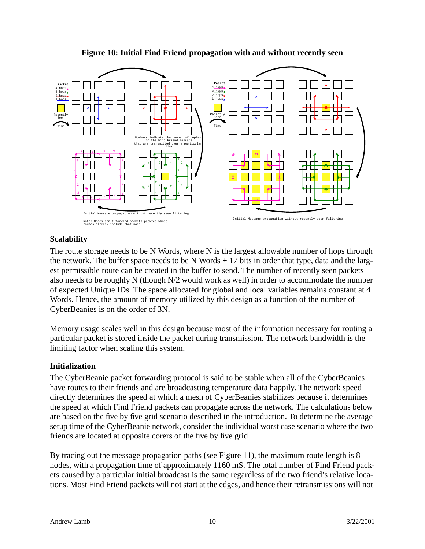

# **Figure 10: Initial Find Friend propagation with and without recently seen**

# **Scalability**

The route storage needs to be N Words, where N is the largest allowable number of hops through the network. The buffer space needs to be N Words  $+17$  bits in order that type, data and the largest permissible route can be created in the buffer to send. The number of recently seen packets also needs to be roughly N (though N/2 would work as well) in order to accommodate the number of expected Unique IDs. The space allocated for global and local variables remains constant at 4 Words. Hence, the amount of memory utilized by this design as a function of the number of CyberBeanies is on the order of 3N.

Memory usage scales well in this design because most of the information necessary for routing a particular packet is stored inside the packet during transmission. The network bandwidth is the limiting factor when scaling this system.

# **Initialization**

The CyberBeanie packet forwarding protocol is said to be stable when all of the CyberBeanies have routes to their friends and are broadcasting temperature data happily. The network speed directly determines the speed at which a mesh of CyberBeanies stabilizes because it determines the speed at which Find Friend packets can propagate across the network. The calculations below are based on the five by five grid scenario described in the introduction. To determine the average setup time of the CyberBeanie network, consider the individual worst case scenario where the two friends are located at opposite corers of the five by five grid

By tracing out the message propagation paths (see Figure 11), the maximum route length is 8 nodes, with a propagation time of approximately 1160 mS. The total number of Find Friend packets caused by a particular initial broadcast is the same regardless of the two friend's relative locations. Most Find Friend packets will not start at the edges, and hence their retransmissions will not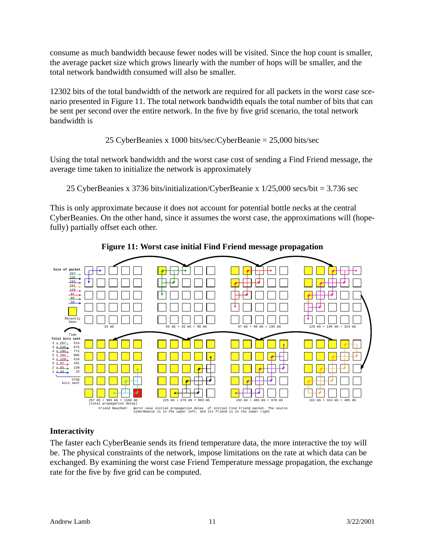consume as much bandwidth because fewer nodes will be visited. Since the hop count is smaller, the average packet size which grows linearly with the number of hops will be smaller, and the total network bandwidth consumed will also be smaller.

12302 bits of the total bandwidth of the network are required for all packets in the worst case scenario presented in Figure 11. The total network bandwidth equals the total number of bits that can be sent per second over the entire network. In the five by five grid scenario, the total network bandwidth is

# 25 CyberBeanies x 1000 bits/sec/CyberBeanie = 25,000 bits/sec

Using the total network bandwidth and the worst case cost of sending a Find Friend message, the average time taken to initialize the network is approximately

25 CyberBeanies x 3736 bits/initialization/CyberBeanie x 1/25,000 secs/bit = 3.736 sec

This is only approximate because it does not account for potential bottle necks at the central CyberBeanies. On the other hand, since it assumes the worst case, the approximations will (hopefully) partially offset each other.





# **Interactivity**

The faster each CyberBeanie sends its friend temperature data, the more interactive the toy will be. The physical constraints of the network, impose limitations on the rate at which data can be exchanged. By examining the worst case Friend Temperature message propagation, the exchange rate for the five by five grid can be computed.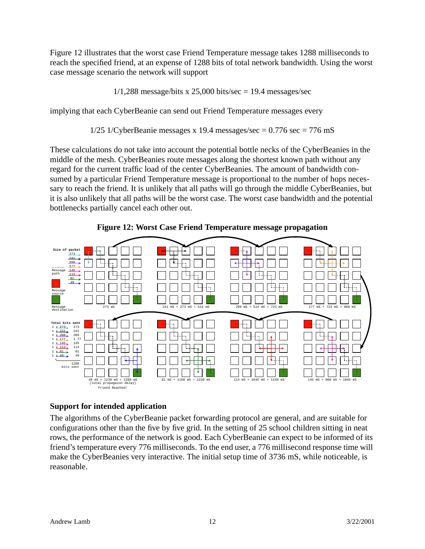Figure 12 illustrates that the worst case Friend Temperature message takes 1288 milliseconds to reach the specified friend, at an expense of 1288 bits of total network bandwidth. Using the worst case message scenario the network will support

 $1/1,288$  message/bits x 25,000 bits/sec = 19.4 messages/sec

implying that each CyberBeanie can send out Friend Temperature messages every

 $1/25$  1/CyberBeanie messages x 19.4 messages/sec = 0.776 sec = 776 mS

These calculations do not take into account the potential bottle necks of the CyberBeanies in the middle of the mesh. CyberBeanies route messages along the shortest known path without any regard for the current traffic load of the center CyberBeanies. The amount of bandwidth consumed by a particular Friend Temperature message is proportional to the number of hops necessary to reach the friend. It is unlikely that all paths will go through the middle CyberBeanies, but it is also unlikely that all paths will be the worst case. The worst case bandwidth and the potential bottlenecks partially cancel each other out.





# **Support for intended application**

The algorithms of the CyberBeanie packet forwarding protocol are general, and are suitable for configurations other than the five by five grid. In the setting of 25 school children sitting in neat rows, the performance of the network is good. Each CyberBeanie can expect to be informed of its friend's temperature every 776 milliseconds. To the end user, a 776 millisecond response time will make the CyberBeanies very interactive. The initial setup time of 3736 mS, while noticeable, is reasonable.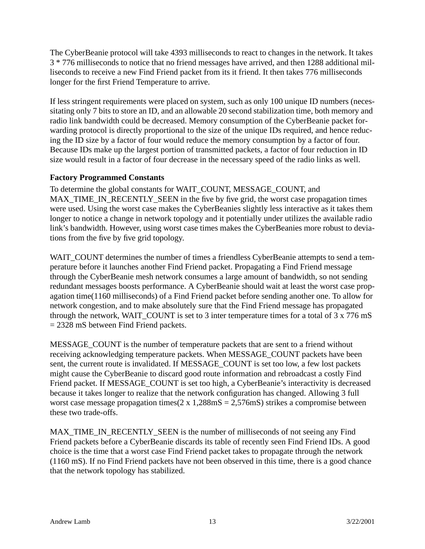The CyberBeanie protocol will take 4393 milliseconds to react to changes in the network. It takes 3 \* 776 milliseconds to notice that no friend messages have arrived, and then 1288 additional milliseconds to receive a new Find Friend packet from its it friend. It then takes 776 milliseconds longer for the first Friend Temperature to arrive.

If less stringent requirements were placed on system, such as only 100 unique ID numbers (necessitating only 7 bits to store an ID, and an allowable 20 second stabilization time, both memory and radio link bandwidth could be decreased. Memory consumption of the CyberBeanie packet forwarding protocol is directly proportional to the size of the unique IDs required, and hence reducing the ID size by a factor of four would reduce the memory consumption by a factor of four. Because IDs make up the largest portion of transmitted packets, a factor of four reduction in ID size would result in a factor of four decrease in the necessary speed of the radio links as well.

# **Factory Programmed Constants**

To determine the global constants for WAIT\_COUNT, MESSAGE\_COUNT, and MAX\_TIME\_IN\_RECENTLY\_SEEN in the five by five grid, the worst case propagation times were used. Using the worst case makes the CyberBeanies slightly less interactive as it takes them longer to notice a change in network topology and it potentially under utilizes the available radio link's bandwidth. However, using worst case times makes the CyberBeanies more robust to deviations from the five by five grid topology.

WAIT\_COUNT determines the number of times a friendless CyberBeanie attempts to send a temperature before it launches another Find Friend packet. Propagating a Find Friend message through the CyberBeanie mesh network consumes a large amount of bandwidth, so not sending redundant messages boosts performance. A CyberBeanie should wait at least the worst case propagation time(1160 milliseconds) of a Find Friend packet before sending another one. To allow for network congestion, and to make absolutely sure that the Find Friend message has propagated through the network, WAIT\_COUNT is set to 3 inter temperature times for a total of 3 x 776 mS = 2328 mS between Find Friend packets.

MESSAGE\_COUNT is the number of temperature packets that are sent to a friend without receiving acknowledging temperature packets. When MESSAGE\_COUNT packets have been sent, the current route is invalidated. If MESSAGE\_COUNT is set too low, a few lost packets might cause the CyberBeanie to discard good route information and rebroadcast a costly Find Friend packet. If MESSAGE\_COUNT is set too high, a CyberBeanie's interactivity is decreased because it takes longer to realize that the network configuration has changed. Allowing 3 full worst case message propagation times( $2 \times 1,288 \text{m}$ S = 2,576mS) strikes a compromise between these two trade-offs.

MAX TIME IN RECENTLY SEEN is the number of milliseconds of not seeing any Find Friend packets before a CyberBeanie discards its table of recently seen Find Friend IDs. A good choice is the time that a worst case Find Friend packet takes to propagate through the network (1160 mS). If no Find Friend packets have not been observed in this time, there is a good chance that the network topology has stabilized.